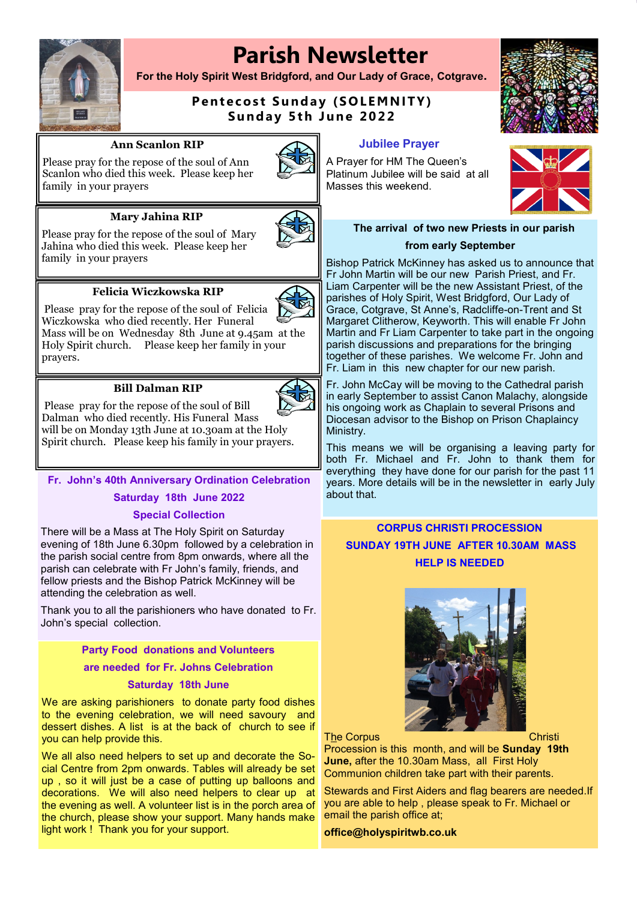# **Parish Newsletter**



**For the Holy Spirit West Bridgford, and Our Lady of Grace, Cotgrave.**

# **Pentecost Sunday (SOLEMNITY) Sunday 5th June 2022**

#### **Ann Scanlon RIP**

Please pray for the repose of the soul of Ann Scanlon who died this week. Please keep her family in your prayers



## **Mary Jahina RIP**

Please pray for the repose of the soul of Mary Jahina who died this week. Please keep her family in your prayers





Please pray for the repose of the soul of Felicia Wiczkowska who died recently. Her Funeral

Mass will be on Wednesday 8th June at 9.45am at the Holy Spirit church. Please keep her family in your prayers.

#### **Bill Dalman RIP**



Please pray for the repose of the soul of Bill Dalman who died recently. His Funeral Mass will be on Monday 13th June at 10.30am at the Holy Spirit church. Please keep his family in your prayers.

**Fr. John's 40th Anniversary Ordination Celebration Saturday 18th June 2022** 

## **Special Collection**

There will be a Mass at The Holy Spirit on Saturday evening of 18th June 6.30pm followed by a celebration in the parish social centre from 8pm onwards, where all the parish can celebrate with Fr John's family, friends, and fellow priests and the Bishop Patrick McKinney will be attending the celebration as well.

Thank you to all the parishioners who have donated to Fr. John's special collection.

> **Party Food donations and Volunteers are needed for Fr. Johns Celebration**

# **Saturday 18th June**

We are asking parishioners to donate party food dishes to the evening celebration, we will need savoury and dessert dishes. A list is at the back of church to see if you can help provide this.

We all also need helpers to set up and decorate the Social Centre from 2pm onwards. Tables will already be set up , so it will just be a case of putting up balloons and decorations. We will also need helpers to clear up at the evening as well. A volunteer list is in the porch area of the church, please show your support. Many hands make light work ! Thank you for your support.

**Jubilee Prayer**

A Prayer for HM The Queen's Platinum Jubilee will be said at all Masses this weekend.





## **The arrival of two new Priests in our parish from early September**

Bishop Patrick McKinney has asked us to announce that Fr John Martin will be our new Parish Priest, and Fr. Liam Carpenter will be the new Assistant Priest, of the parishes of Holy Spirit, West Bridgford, Our Lady of Grace, Cotgrave, St Anne's, Radcliffe-on-Trent and St Margaret Clitherow, Keyworth. This will enable Fr John Martin and Fr Liam Carpenter to take part in the ongoing parish discussions and preparations for the bringing together of these parishes. We welcome Fr. John and Fr. Liam in this new chapter for our new parish.

Fr. John McCay will be moving to the Cathedral parish in early September to assist Canon Malachy, alongside his ongoing work as Chaplain to several Prisons and Diocesan advisor to the Bishop on Prison Chaplaincy Ministry.

This means we will be organising a leaving party for both Fr. Michael and Fr. John to thank them for everything they have done for our parish for the past 11 years. More details will be in the newsletter in early July about that.

# **CORPUS CHRISTI PROCESSION SUNDAY 19TH JUNE AFTER 10.30AM MASS HELP IS NEEDED**



#### The Corpus **Christi** Christi

Procession is this month, and will be **Sunday 19th June,** after the 10.30am Mass, all First Holy Communion children take part with their parents.

Stewards and First Aiders and flag bearers are needed.If you are able to help , please speak to Fr. Michael or email the parish office at;

**office@holyspiritwb.co.uk**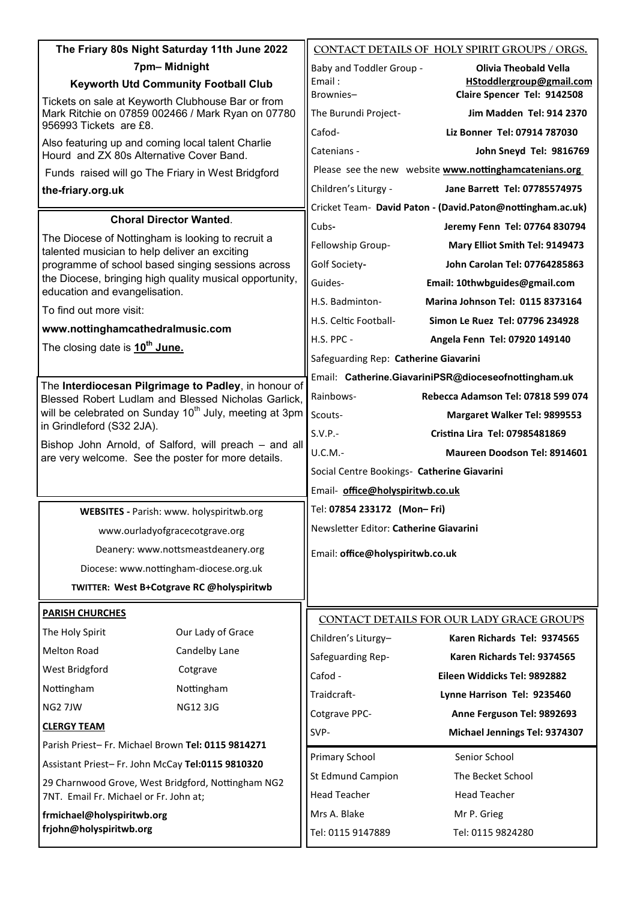| The Friary 80s Night Saturday 11th June 2022                                                                                     | CONTACT DETAILS OF HOLY SPIRIT GROUPS / ORGS.              |
|----------------------------------------------------------------------------------------------------------------------------------|------------------------------------------------------------|
| 7pm-Midnight                                                                                                                     | Baby and Toddler Group -<br><b>Olivia Theobald Vella</b>   |
| <b>Keyworth Utd Community Football Club</b>                                                                                      | Email:<br>HStoddlergroup@gmail.com                         |
| Tickets on sale at Keyworth Clubhouse Bar or from<br>Mark Ritchie on 07859 002466 / Mark Ryan on 07780<br>956993 Tickets are £8. | Brownies-<br>Claire Spencer Tel: 9142508                   |
|                                                                                                                                  | Jim Madden Tel: 914 2370<br>The Burundi Project-           |
| Also featuring up and coming local talent Charlie                                                                                | Cafod-<br>Liz Bonner Tel: 07914 787030                     |
| Hourd and ZX 80s Alternative Cover Band.                                                                                         | Catenians -<br>John Sneyd Tel: 9816769                     |
| Funds raised will go The Friary in West Bridgford                                                                                | Please see the new website www.nottinghamcatenians.org     |
| the-friary.org.uk                                                                                                                | Children's Liturgy -<br>Jane Barrett Tel: 07785574975      |
| <b>Choral Director Wanted.</b>                                                                                                   | Cricket Team- David Paton - (David.Paton@nottingham.ac.uk) |
| The Diocese of Nottingham is looking to recruit a                                                                                | Cubs-<br>Jeremy Fenn Tel: 07764 830794                     |
| talented musician to help deliver an exciting                                                                                    | Fellowship Group-<br>Mary Elliot Smith Tel: 9149473        |
| programme of school based singing sessions across<br>the Diocese, bringing high quality musical opportunity,                     | Golf Society-<br>John Carolan Tel: 07764285863             |
| education and evangelisation.                                                                                                    | Guides-<br>Email: 10thwbguides@gmail.com                   |
| To find out more visit:                                                                                                          | H.S. Badminton-<br>Marina Johnson Tel: 0115 8373164        |
| www.nottinghamcathedralmusic.com                                                                                                 | H.S. Celtic Football-<br>Simon Le Ruez Tel: 07796 234928   |
| The closing date is 10 <sup>th</sup> June.                                                                                       | H.S. PPC -<br>Angela Fenn Tel: 07920 149140                |
|                                                                                                                                  | Safeguarding Rep: Catherine Giavarini                      |
| The Interdiocesan Pilgrimage to Padley, in honour of                                                                             | Email: Catherine.GiavariniPSR@dioceseofnottingham.uk       |
| Blessed Robert Ludlam and Blessed Nicholas Garlick,                                                                              | Rainbows-<br><b>Rebecca Adamson Tel: 07818 599 074</b>     |
| will be celebrated on Sunday 10 <sup>th</sup> July, meeting at 3pm<br>in Grindleford (S32 2JA).                                  | Scouts-<br>Margaret Walker Tel: 9899553                    |
| Bishop John Arnold, of Salford, will preach - and all                                                                            | $S.V.P.-$<br>Cristina Lira Tel: 07985481869                |
| are very welcome. See the poster for more details.                                                                               | U.C.M.-<br>Maureen Doodson Tel: 8914601                    |
|                                                                                                                                  | Social Centre Bookings- Catherine Giavarini                |
|                                                                                                                                  | Email- office@holyspiritwb.co.uk                           |
| WEBSITES - Parish: www. holyspiritwb.org                                                                                         | Tel: 07854 233172 (Mon-Fri)                                |
| www.ourladyofgracecotgrave.org                                                                                                   | Newsletter Editor: Catherine Giavarini                     |
| Deanery: www.nottsmeastdeanery.org                                                                                               | Email: office@holyspiritwb.co.uk                           |
| Diocese: www.nottingham-diocese.org.uk                                                                                           |                                                            |
| TWITTER: West B+Cotgrave RC @holyspiritwb                                                                                        |                                                            |
| <b>PARISH CHURCHES</b>                                                                                                           |                                                            |
| Our Lady of Grace<br>The Holy Spirit                                                                                             | CONTACT DETAILS FOR OUR LADY GRACE GROUPS                  |
| <b>Melton Road</b><br>Candelby Lane                                                                                              | Children's Liturgy-<br>Karen Richards Tel: 9374565         |
| West Bridgford<br>Cotgrave                                                                                                       | Safeguarding Rep-<br>Karen Richards Tel: 9374565           |
| Nottingham<br>Nottingham                                                                                                         | Cafod -<br>Eileen Widdicks Tel: 9892882                    |
| <b>NG12 3JG</b><br>NG2 7JW                                                                                                       | Traidcraft-<br>Lynne Harrison Tel: 9235460                 |
| <b>CLERGY TEAM</b>                                                                                                               | Cotgrave PPC-<br>Anne Ferguson Tel: 9892693                |
| Parish Priest-Fr. Michael Brown Tel: 0115 9814271                                                                                | SVP-<br>Michael Jennings Tel: 9374307                      |
|                                                                                                                                  | Primary School<br>Senior School                            |
| Assistant Priest-Fr. John McCay Tel:0115 9810320                                                                                 | St Edmund Campion<br>The Becket School                     |
| 29 Charnwood Grove, West Bridgford, Nottingham NG2<br>7NT. Email Fr. Michael or Fr. John at;                                     | <b>Head Teacher</b><br><b>Head Teacher</b>                 |
| frmichael@holyspiritwb.org                                                                                                       | Mrs A. Blake<br>Mr P. Grieg                                |
| frjohn@holyspiritwb.org                                                                                                          | Tel: 0115 9147889<br>Tel: 0115 9824280                     |
|                                                                                                                                  |                                                            |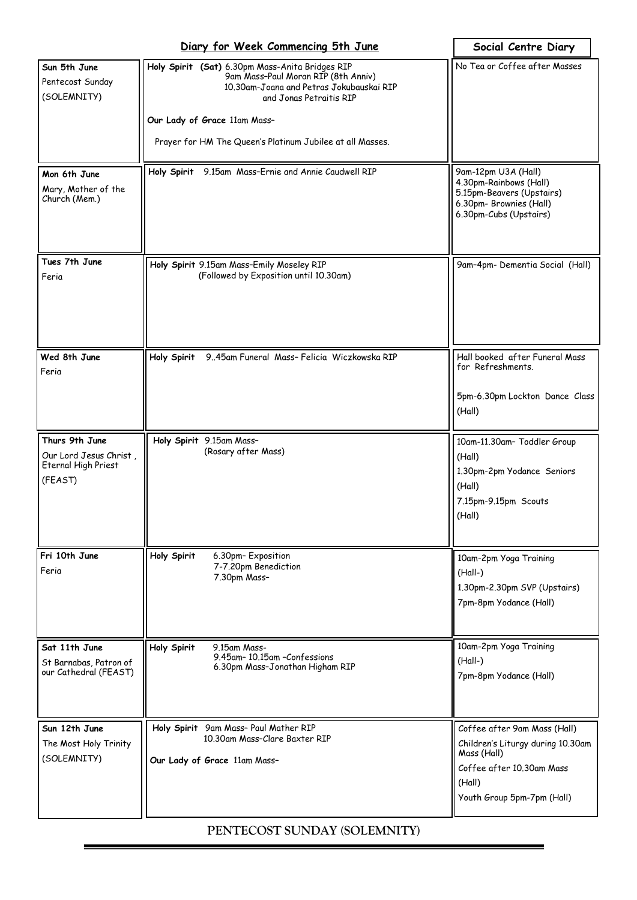|                                                                            | Diary for Week Commencing 5th June                                                                                                                                                                                                                         | Social Centre Diary                                                                                                                                   |
|----------------------------------------------------------------------------|------------------------------------------------------------------------------------------------------------------------------------------------------------------------------------------------------------------------------------------------------------|-------------------------------------------------------------------------------------------------------------------------------------------------------|
| Sun 5th June<br>Pentecost Sunday<br>(SOLEMNITY)                            | Holy Spirit (Sat) 6.30pm Mass-Anita Bridges RIP<br>9am Mass-Paul Moran RIP (8th Anniv)<br>10.30am-Joana and Petras Jokubauskai RIP<br>and Jonas Petraitis RIP<br>Our Lady of Grace 11am Mass-<br>Prayer for HM The Queen's Platinum Jubilee at all Masses. | No Tea or Coffee after Masses                                                                                                                         |
| Mon 6th June<br>Mary, Mother of the<br>Church (Mem.)                       | 9.15am Mass-Ernie and Annie Caudwell RIP<br>Holy Spirit                                                                                                                                                                                                    | 9am-12pm U3A (Hall)<br>4.30pm-Rainbows (Hall)<br>5.15pm-Beavers (Upstairs)<br>6.30pm- Brownies (Hall)<br>6.30pm-Cubs (Upstairs)                       |
| Tues 7th June<br>Feria                                                     | Holy Spirit 9.15am Mass-Emily Moseley RIP<br>(Followed by Exposition until 10.30am)                                                                                                                                                                        | 9am-4pm- Dementia Social (Hall)                                                                                                                       |
| Wed 8th June<br>Feria                                                      | 945am Funeral Mass- Felicia Wiczkowska RIP<br>Holy Spirit                                                                                                                                                                                                  | Hall booked after Funeral Mass<br>for Refreshments.<br>5pm-6.30pm Lockton Dance Class<br>(Hall)                                                       |
| Thurs 9th June<br>Our Lord Jesus Christ,<br>Eternal High Priest<br>(FEAST) | Holy Spirit 9.15am Mass-<br>(Rosary after Mass)                                                                                                                                                                                                            | 10am-11.30am- Toddler Group<br>(Hall)<br>1.30pm-2pm Yodance Seniors<br>(Hall)<br>7.15pm-9.15pm Scouts<br>(Hall)                                       |
| Fri 10th June<br>Feria                                                     | Holy Spirit<br>6.30pm-Exposition<br>7-7.20pm Benediction<br>7.30pm Mass-                                                                                                                                                                                   | 10am-2pm Yoga Training<br>$(Hall-)$<br>1.30pm-2.30pm SVP (Upstairs)<br>7pm-8pm Yodance (Hall)                                                         |
| Sat 11th June<br>St Barnabas, Patron of<br>our Cathedral (FEAST)           | Holy Spirit<br>9.15am Mass-<br>9.45am-10.15am-Confessions<br>6.30pm Mass-Jonathan Higham RIP                                                                                                                                                               | 10am-2pm Yoga Training<br>$(Hall-)$<br>7pm-8pm Yodance (Hall)                                                                                         |
| Sun 12th June<br>The Most Holy Trinity<br>(SOLEMNITY)                      | Holy Spirit 9am Mass- Paul Mather RIP<br>10.30am Mass-Clare Baxter RIP<br>Our Lady of Grace 11am Mass-                                                                                                                                                     | Coffee after 9am Mass (Hall)<br>Children's Liturgy during 10.30am<br>Mass (Hall)<br>Coffee after 10.30am Mass<br>(Hall)<br>Youth Group 5pm-7pm (Hall) |